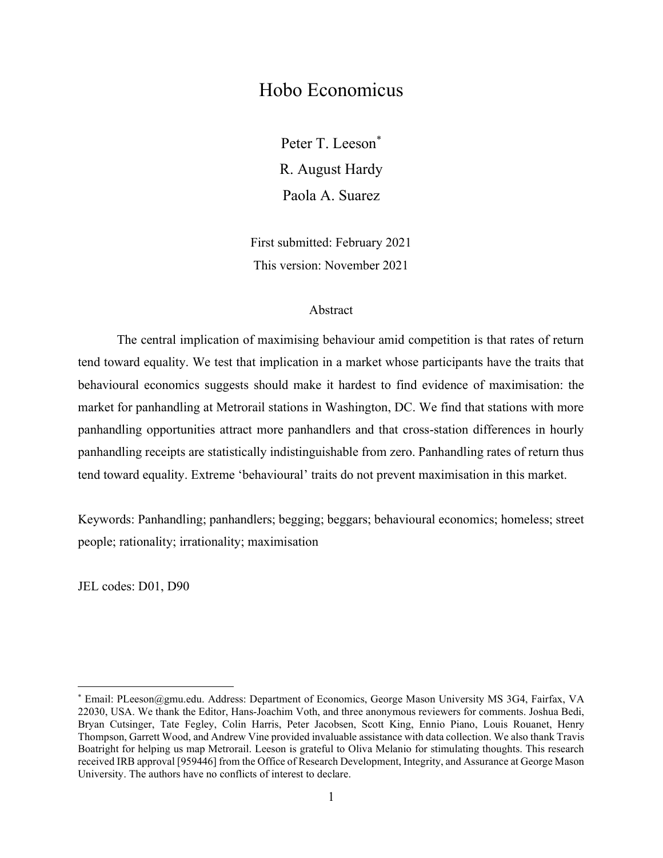## Hobo Economicus

Peter T. Leeson<sup>\*</sup> R. August Hardy Paola A. Suarez

First submitted: February 2021 This version: November 2021

#### Abstract

The central implication of maximising behaviour amid competition is that rates of return tend toward equality. We test that implication in a market whose participants have the traits that behavioural economics suggests should make it hardest to find evidence of maximisation: the market for panhandling at Metrorail stations in Washington, DC. We find that stations with more panhandling opportunities attract more panhandlers and that cross-station differences in hourly panhandling receipts are statistically indistinguishable from zero. Panhandling rates of return thus tend toward equality. Extreme 'behavioural' traits do not prevent maximisation in this market.

Keywords: Panhandling; panhandlers; begging; beggars; behavioural economics; homeless; street people; rationality; irrationality; maximisation

JEL codes: D01, D90

<sup>\*</sup> Email: PLeeson@gmu.edu. Address: Department of Economics, George Mason University MS 3G4, Fairfax, VA 22030, USA. We thank the Editor, Hans-Joachim Voth, and three anonymous reviewers for comments. Joshua Bedi, Bryan Cutsinger, Tate Fegley, Colin Harris, Peter Jacobsen, Scott King, Ennio Piano, Louis Rouanet, Henry Thompson, Garrett Wood, and Andrew Vine provided invaluable assistance with data collection. We also thank Travis Boatright for helping us map Metrorail. Leeson is grateful to Oliva Melanio for stimulating thoughts. This research received IRB approval [959446] from the Office of Research Development, Integrity, and Assurance at George Mason University. The authors have no conflicts of interest to declare.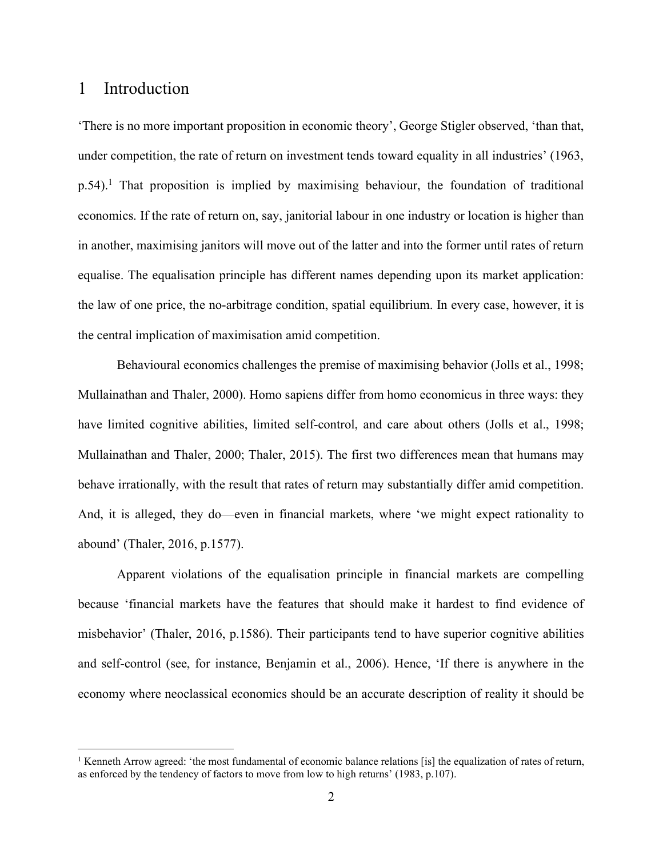## 1 Introduction

'There is no more important proposition in economic theory', George Stigler observed, 'than that, under competition, the rate of return on investment tends toward equality in all industries' (1963, p.54).<sup>1</sup> That proposition is implied by maximising behaviour, the foundation of traditional economics. If the rate of return on, say, janitorial labour in one industry or location is higher than in another, maximising janitors will move out of the latter and into the former until rates of return equalise. The equalisation principle has different names depending upon its market application: the law of one price, the no-arbitrage condition, spatial equilibrium. In every case, however, it is the central implication of maximisation amid competition.

 Behavioural economics challenges the premise of maximising behavior (Jolls et al., 1998; Mullainathan and Thaler, 2000). Homo sapiens differ from homo economicus in three ways: they have limited cognitive abilities, limited self-control, and care about others (Jolls et al., 1998; Mullainathan and Thaler, 2000; Thaler, 2015). The first two differences mean that humans may behave irrationally, with the result that rates of return may substantially differ amid competition. And, it is alleged, they do—even in financial markets, where 'we might expect rationality to abound' (Thaler, 2016, p.1577).

Apparent violations of the equalisation principle in financial markets are compelling because 'financial markets have the features that should make it hardest to find evidence of misbehavior' (Thaler, 2016, p.1586). Their participants tend to have superior cognitive abilities and self-control (see, for instance, Benjamin et al., 2006). Hence, 'If there is anywhere in the economy where neoclassical economics should be an accurate description of reality it should be

<sup>&</sup>lt;sup>1</sup> Kenneth Arrow agreed: 'the most fundamental of economic balance relations [is] the equalization of rates of return, as enforced by the tendency of factors to move from low to high returns' (1983, p.107).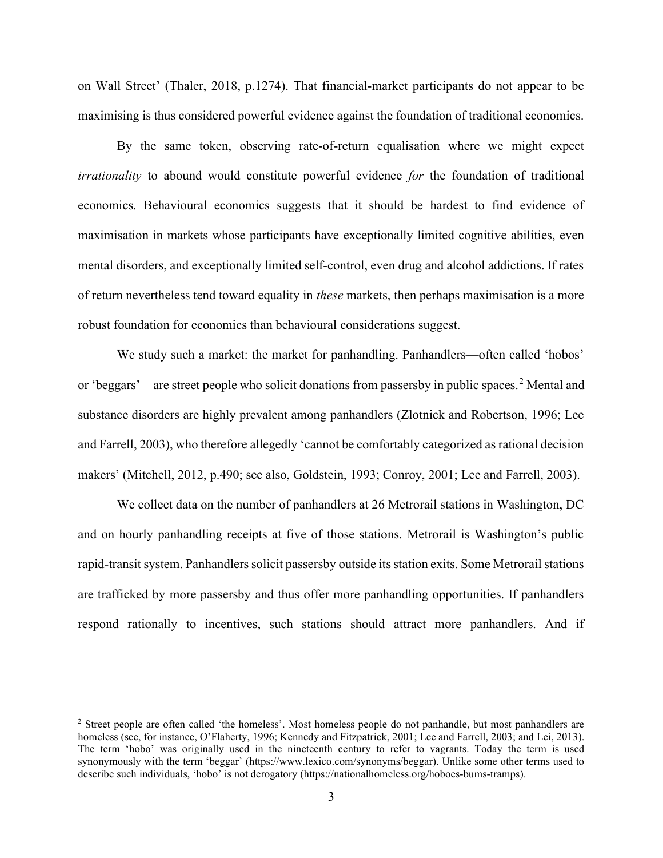on Wall Street' (Thaler, 2018, p.1274). That financial-market participants do not appear to be maximising is thus considered powerful evidence against the foundation of traditional economics.

 By the same token, observing rate-of-return equalisation where we might expect irrationality to abound would constitute powerful evidence for the foundation of traditional economics. Behavioural economics suggests that it should be hardest to find evidence of maximisation in markets whose participants have exceptionally limited cognitive abilities, even mental disorders, and exceptionally limited self-control, even drug and alcohol addictions. If rates of return nevertheless tend toward equality in these markets, then perhaps maximisation is a more robust foundation for economics than behavioural considerations suggest.

We study such a market: the market for panhandling. Panhandlers—often called 'hobos' or 'beggars'—are street people who solicit donations from passersby in public spaces.<sup>2</sup> Mental and substance disorders are highly prevalent among panhandlers (Zlotnick and Robertson, 1996; Lee and Farrell, 2003), who therefore allegedly 'cannot be comfortably categorized as rational decision makers' (Mitchell, 2012, p.490; see also, Goldstein, 1993; Conroy, 2001; Lee and Farrell, 2003).

We collect data on the number of panhandlers at 26 Metrorail stations in Washington, DC and on hourly panhandling receipts at five of those stations. Metrorail is Washington's public rapid-transit system. Panhandlers solicit passersby outside its station exits. Some Metrorail stations are trafficked by more passersby and thus offer more panhandling opportunities. If panhandlers respond rationally to incentives, such stations should attract more panhandlers. And if

<sup>&</sup>lt;sup>2</sup> Street people are often called 'the homeless'. Most homeless people do not panhandle, but most panhandlers are homeless (see, for instance, O'Flaherty, 1996; Kennedy and Fitzpatrick, 2001; Lee and Farrell, 2003; and Lei, 2013). The term 'hobo' was originally used in the nineteenth century to refer to vagrants. Today the term is used synonymously with the term 'beggar' (https://www.lexico.com/synonyms/beggar). Unlike some other terms used to describe such individuals, 'hobo' is not derogatory (https://nationalhomeless.org/hoboes-bums-tramps).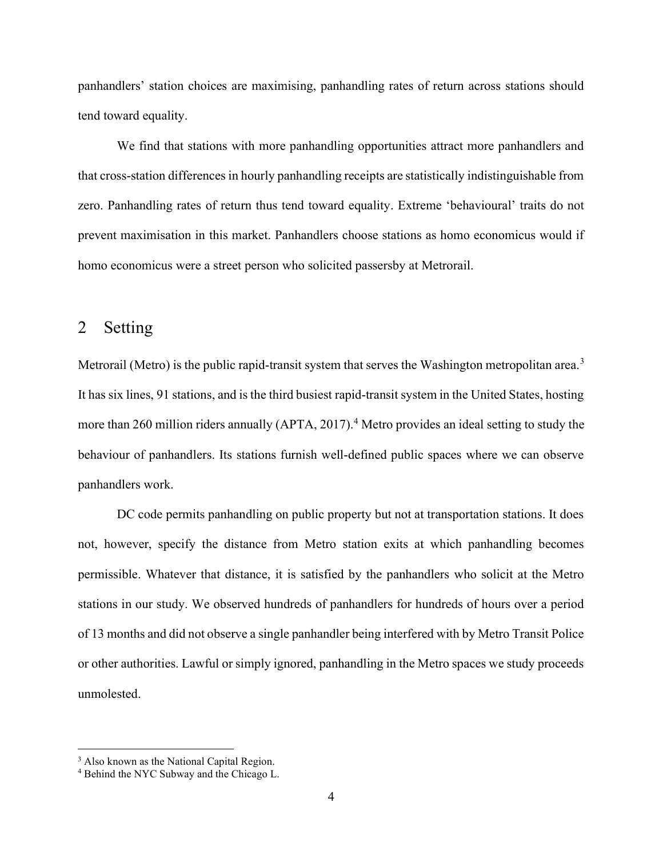panhandlers' station choices are maximising, panhandling rates of return across stations should tend toward equality.

We find that stations with more panhandling opportunities attract more panhandlers and that cross-station differences in hourly panhandling receipts are statistically indistinguishable from zero. Panhandling rates of return thus tend toward equality. Extreme 'behavioural' traits do not prevent maximisation in this market. Panhandlers choose stations as homo economicus would if homo economicus were a street person who solicited passersby at Metrorail.

### 2 Setting

Metrorail (Metro) is the public rapid-transit system that serves the Washington metropolitan area.<sup>3</sup> It has six lines, 91 stations, and is the third busiest rapid-transit system in the United States, hosting more than 260 million riders annually (APTA, 2017).<sup>4</sup> Metro provides an ideal setting to study the behaviour of panhandlers. Its stations furnish well-defined public spaces where we can observe panhandlers work.

DC code permits panhandling on public property but not at transportation stations. It does not, however, specify the distance from Metro station exits at which panhandling becomes permissible. Whatever that distance, it is satisfied by the panhandlers who solicit at the Metro stations in our study. We observed hundreds of panhandlers for hundreds of hours over a period of 13 months and did not observe a single panhandler being interfered with by Metro Transit Police or other authorities. Lawful or simply ignored, panhandling in the Metro spaces we study proceeds unmolested.

<sup>&</sup>lt;sup>3</sup> Also known as the National Capital Region.

<sup>&</sup>lt;sup>4</sup> Behind the NYC Subway and the Chicago L.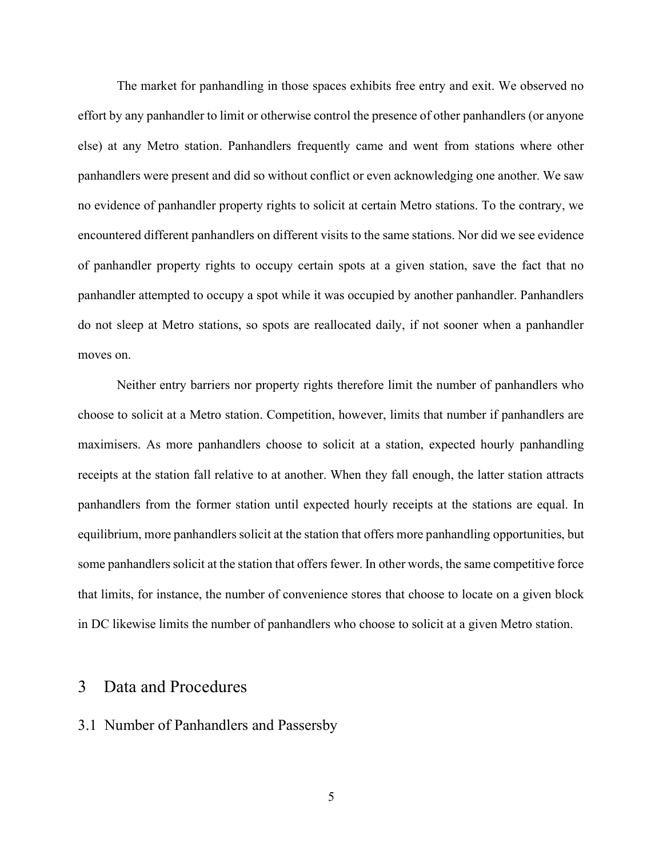The market for panhandling in those spaces exhibits free entry and exit. We observed no effort by any panhandler to limit or otherwise control the presence of other panhandlers (or anyone else) at any Metro station. Panhandlers frequently came and went from stations where other panhandlers were present and did so without conflict or even acknowledging one another. We saw no evidence of panhandler property rights to solicit at certain Metro stations. To the contrary, we encountered different panhandlers on different visits to the same stations. Nor did we see evidence of panhandler property rights to occupy certain spots at a given station, save the fact that no panhandler attempted to occupy a spot while it was occupied by another panhandler. Panhandlers do not sleep at Metro stations, so spots are reallocated daily, if not sooner when a panhandler moves on.

Neither entry barriers nor property rights therefore limit the number of panhandlers who choose to solicit at a Metro station. Competition, however, limits that number if panhandlers are maximisers. As more panhandlers choose to solicit at a station, expected hourly panhandling receipts at the station fall relative to at another. When they fall enough, the latter station attracts panhandlers from the former station until expected hourly receipts at the stations are equal. In equilibrium, more panhandlers solicit at the station that offers more panhandling opportunities, but some panhandlers solicit at the station that offers fewer. In other words, the same competitive force that limits, for instance, the number of convenience stores that choose to locate on a given block in DC likewise limits the number of panhandlers who choose to solicit at a given Metro station.

## 3 Data and Procedures

#### 3.1 Number of Panhandlers and Passersby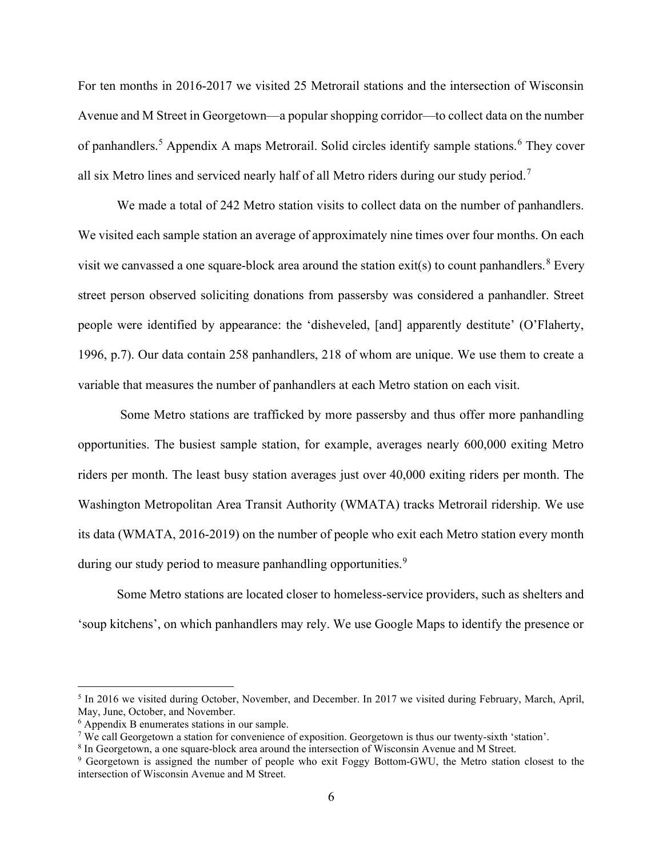For ten months in 2016-2017 we visited 25 Metrorail stations and the intersection of Wisconsin Avenue and M Street in Georgetown—a popular shopping corridor—to collect data on the number of panhandlers.<sup>5</sup> Appendix A maps Metrorail. Solid circles identify sample stations.<sup>6</sup> They cover all six Metro lines and serviced nearly half of all Metro riders during our study period.<sup>7</sup>

We made a total of 242 Metro station visits to collect data on the number of panhandlers. We visited each sample station an average of approximately nine times over four months. On each visit we canvassed a one square-block area around the station  $exit(s)$  to count panhandlers. <sup>8</sup> Every street person observed soliciting donations from passersby was considered a panhandler. Street people were identified by appearance: the 'disheveled, [and] apparently destitute' (O'Flaherty, 1996, p.7). Our data contain 258 panhandlers, 218 of whom are unique. We use them to create a variable that measures the number of panhandlers at each Metro station on each visit.

 Some Metro stations are trafficked by more passersby and thus offer more panhandling opportunities. The busiest sample station, for example, averages nearly 600,000 exiting Metro riders per month. The least busy station averages just over 40,000 exiting riders per month. The Washington Metropolitan Area Transit Authority (WMATA) tracks Metrorail ridership. We use its data (WMATA, 2016-2019) on the number of people who exit each Metro station every month during our study period to measure panhandling opportunities.<sup>9</sup>

Some Metro stations are located closer to homeless-service providers, such as shelters and 'soup kitchens', on which panhandlers may rely. We use Google Maps to identify the presence or

<sup>&</sup>lt;sup>5</sup> In 2016 we visited during October, November, and December. In 2017 we visited during February, March, April, May, June, October, and November.

<sup>6</sup> Appendix B enumerates stations in our sample.

<sup>7</sup> We call Georgetown a station for convenience of exposition. Georgetown is thus our twenty-sixth 'station'.

<sup>&</sup>lt;sup>8</sup> In Georgetown, a one square-block area around the intersection of Wisconsin Avenue and M Street.

<sup>&</sup>lt;sup>9</sup> Georgetown is assigned the number of people who exit Foggy Bottom-GWU, the Metro station closest to the intersection of Wisconsin Avenue and M Street.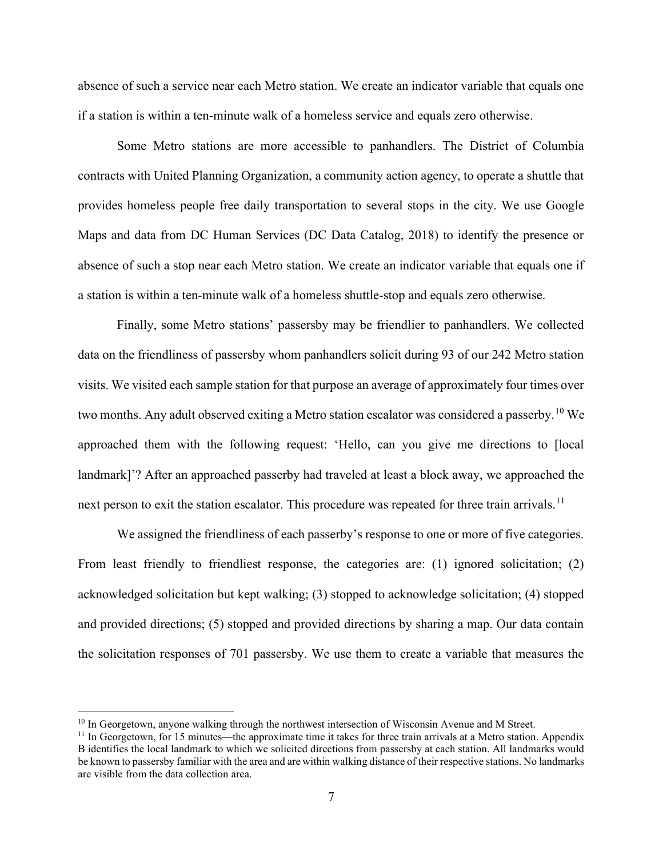absence of such a service near each Metro station. We create an indicator variable that equals one if a station is within a ten-minute walk of a homeless service and equals zero otherwise.

Some Metro stations are more accessible to panhandlers. The District of Columbia contracts with United Planning Organization, a community action agency, to operate a shuttle that provides homeless people free daily transportation to several stops in the city. We use Google Maps and data from DC Human Services (DC Data Catalog, 2018) to identify the presence or absence of such a stop near each Metro station. We create an indicator variable that equals one if a station is within a ten-minute walk of a homeless shuttle-stop and equals zero otherwise.

Finally, some Metro stations' passersby may be friendlier to panhandlers. We collected data on the friendliness of passersby whom panhandlers solicit during 93 of our 242 Metro station visits. We visited each sample station for that purpose an average of approximately four times over two months. Any adult observed exiting a Metro station escalator was considered a passerby.<sup>10</sup> We approached them with the following request: 'Hello, can you give me directions to [local landmark]'? After an approached passerby had traveled at least a block away, we approached the next person to exit the station escalator. This procedure was repeated for three train arrivals.<sup>11</sup>

We assigned the friendliness of each passerby's response to one or more of five categories. From least friendly to friendliest response, the categories are: (1) ignored solicitation; (2) acknowledged solicitation but kept walking; (3) stopped to acknowledge solicitation; (4) stopped and provided directions; (5) stopped and provided directions by sharing a map. Our data contain the solicitation responses of 701 passersby. We use them to create a variable that measures the

 $10$  In Georgetown, anyone walking through the northwest intersection of Wisconsin Avenue and M Street.

 $11$  In Georgetown, for 15 minutes—the approximate time it takes for three train arrivals at a Metro station. Appendix B identifies the local landmark to which we solicited directions from passersby at each station. All landmarks would be known to passersby familiar with the area and are within walking distance of their respective stations. No landmarks are visible from the data collection area.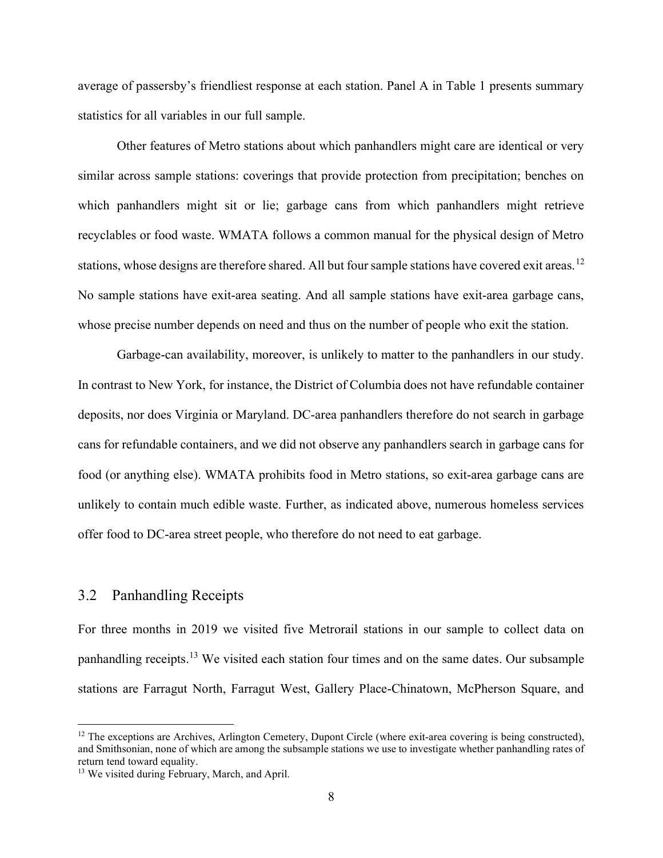average of passersby's friendliest response at each station. Panel A in Table 1 presents summary statistics for all variables in our full sample.

Other features of Metro stations about which panhandlers might care are identical or very similar across sample stations: coverings that provide protection from precipitation; benches on which panhandlers might sit or lie; garbage cans from which panhandlers might retrieve recyclables or food waste. WMATA follows a common manual for the physical design of Metro stations, whose designs are therefore shared. All but four sample stations have covered exit areas.<sup>12</sup> No sample stations have exit-area seating. And all sample stations have exit-area garbage cans, whose precise number depends on need and thus on the number of people who exit the station.

Garbage-can availability, moreover, is unlikely to matter to the panhandlers in our study. In contrast to New York, for instance, the District of Columbia does not have refundable container deposits, nor does Virginia or Maryland. DC-area panhandlers therefore do not search in garbage cans for refundable containers, and we did not observe any panhandlers search in garbage cans for food (or anything else). WMATA prohibits food in Metro stations, so exit-area garbage cans are unlikely to contain much edible waste. Further, as indicated above, numerous homeless services offer food to DC-area street people, who therefore do not need to eat garbage.

#### 3.2 Panhandling Receipts

For three months in 2019 we visited five Metrorail stations in our sample to collect data on panhandling receipts.<sup>13</sup> We visited each station four times and on the same dates. Our subsample stations are Farragut North, Farragut West, Gallery Place-Chinatown, McPherson Square, and

<sup>&</sup>lt;sup>12</sup> The exceptions are Archives, Arlington Cemetery, Dupont Circle (where exit-area covering is being constructed), and Smithsonian, none of which are among the subsample stations we use to investigate whether panhandling rates of return tend toward equality.

<sup>&</sup>lt;sup>13</sup> We visited during February, March, and April.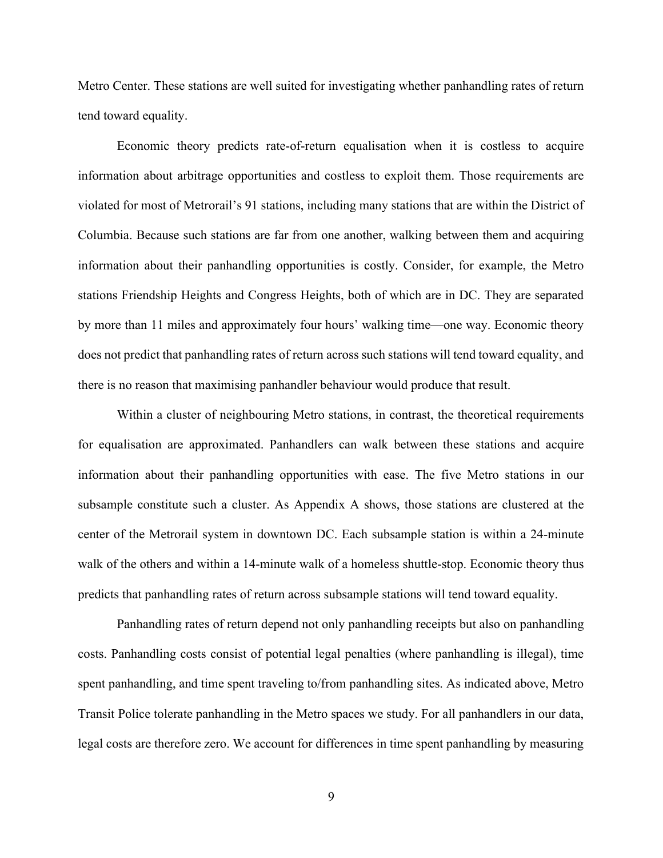Metro Center. These stations are well suited for investigating whether panhandling rates of return tend toward equality.

Economic theory predicts rate-of-return equalisation when it is costless to acquire information about arbitrage opportunities and costless to exploit them. Those requirements are violated for most of Metrorail's 91 stations, including many stations that are within the District of Columbia. Because such stations are far from one another, walking between them and acquiring information about their panhandling opportunities is costly. Consider, for example, the Metro stations Friendship Heights and Congress Heights, both of which are in DC. They are separated by more than 11 miles and approximately four hours' walking time—one way. Economic theory does not predict that panhandling rates of return across such stations will tend toward equality, and there is no reason that maximising panhandler behaviour would produce that result.

Within a cluster of neighbouring Metro stations, in contrast, the theoretical requirements for equalisation are approximated. Panhandlers can walk between these stations and acquire information about their panhandling opportunities with ease. The five Metro stations in our subsample constitute such a cluster. As Appendix A shows, those stations are clustered at the center of the Metrorail system in downtown DC. Each subsample station is within a 24-minute walk of the others and within a 14-minute walk of a homeless shuttle-stop. Economic theory thus predicts that panhandling rates of return across subsample stations will tend toward equality.

Panhandling rates of return depend not only panhandling receipts but also on panhandling costs. Panhandling costs consist of potential legal penalties (where panhandling is illegal), time spent panhandling, and time spent traveling to/from panhandling sites. As indicated above, Metro Transit Police tolerate panhandling in the Metro spaces we study. For all panhandlers in our data, legal costs are therefore zero. We account for differences in time spent panhandling by measuring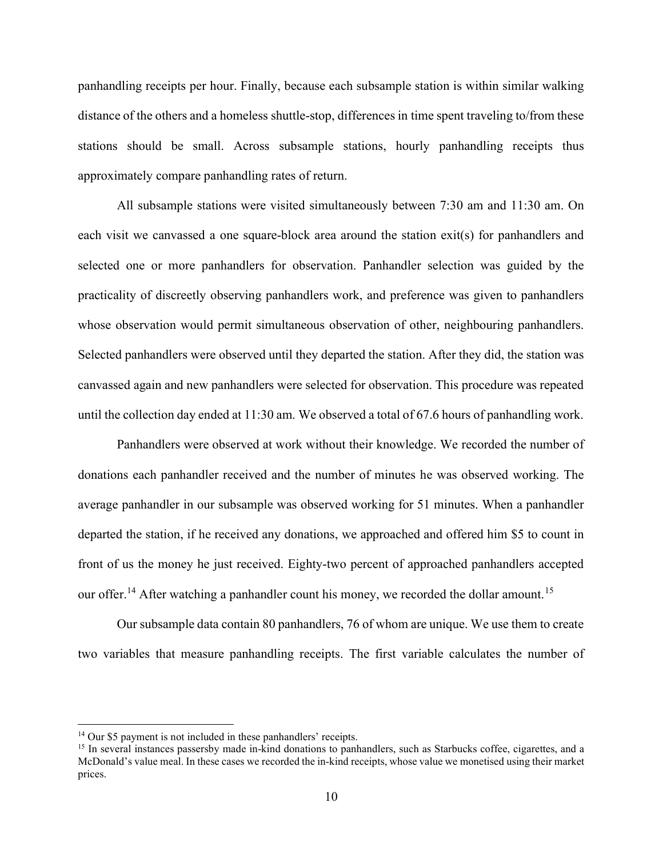panhandling receipts per hour. Finally, because each subsample station is within similar walking distance of the others and a homeless shuttle-stop, differences in time spent traveling to/from these stations should be small. Across subsample stations, hourly panhandling receipts thus approximately compare panhandling rates of return.

All subsample stations were visited simultaneously between 7:30 am and 11:30 am. On each visit we canvassed a one square-block area around the station exit(s) for panhandlers and selected one or more panhandlers for observation. Panhandler selection was guided by the practicality of discreetly observing panhandlers work, and preference was given to panhandlers whose observation would permit simultaneous observation of other, neighbouring panhandlers. Selected panhandlers were observed until they departed the station. After they did, the station was canvassed again and new panhandlers were selected for observation. This procedure was repeated until the collection day ended at 11:30 am. We observed a total of 67.6 hours of panhandling work.

Panhandlers were observed at work without their knowledge. We recorded the number of donations each panhandler received and the number of minutes he was observed working. The average panhandler in our subsample was observed working for 51 minutes. When a panhandler departed the station, if he received any donations, we approached and offered him \$5 to count in front of us the money he just received. Eighty-two percent of approached panhandlers accepted our offer.<sup>14</sup> After watching a panhandler count his money, we recorded the dollar amount.<sup>15</sup>

Our subsample data contain 80 panhandlers, 76 of whom are unique. We use them to create two variables that measure panhandling receipts. The first variable calculates the number of

<sup>&</sup>lt;sup>14</sup> Our \$5 payment is not included in these panhandlers' receipts.

<sup>&</sup>lt;sup>15</sup> In several instances passersby made in-kind donations to panhandlers, such as Starbucks coffee, cigarettes, and a McDonald's value meal. In these cases we recorded the in-kind receipts, whose value we monetised using their market prices.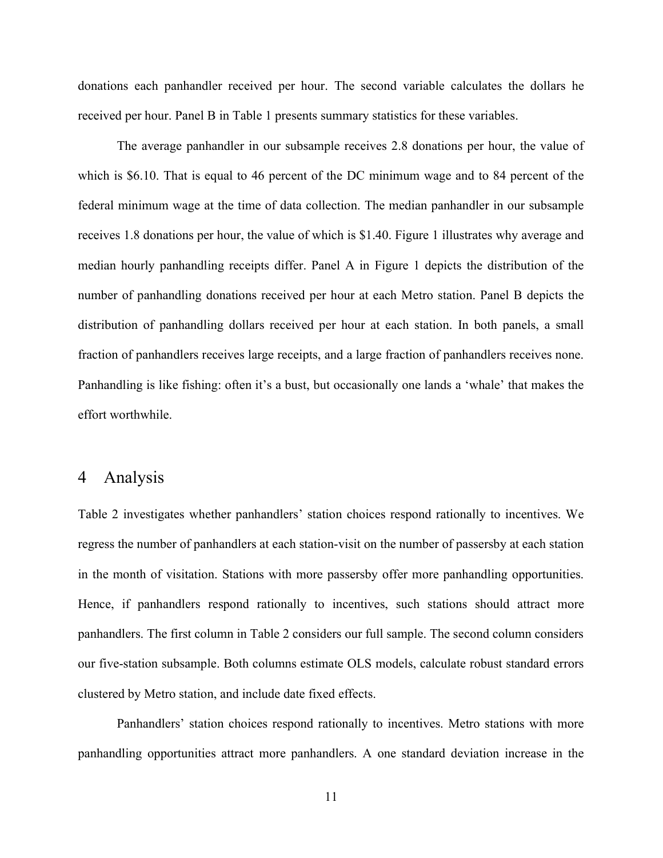donations each panhandler received per hour. The second variable calculates the dollars he received per hour. Panel B in Table 1 presents summary statistics for these variables.

The average panhandler in our subsample receives 2.8 donations per hour, the value of which is \$6.10. That is equal to 46 percent of the DC minimum wage and to 84 percent of the federal minimum wage at the time of data collection. The median panhandler in our subsample receives 1.8 donations per hour, the value of which is \$1.40. Figure 1 illustrates why average and median hourly panhandling receipts differ. Panel A in Figure 1 depicts the distribution of the number of panhandling donations received per hour at each Metro station. Panel B depicts the distribution of panhandling dollars received per hour at each station. In both panels, a small fraction of panhandlers receives large receipts, and a large fraction of panhandlers receives none. Panhandling is like fishing: often it's a bust, but occasionally one lands a 'whale' that makes the effort worthwhile.

#### 4 Analysis

Table 2 investigates whether panhandlers' station choices respond rationally to incentives. We regress the number of panhandlers at each station-visit on the number of passersby at each station in the month of visitation. Stations with more passersby offer more panhandling opportunities. Hence, if panhandlers respond rationally to incentives, such stations should attract more panhandlers. The first column in Table 2 considers our full sample. The second column considers our five-station subsample. Both columns estimate OLS models, calculate robust standard errors clustered by Metro station, and include date fixed effects.

Panhandlers' station choices respond rationally to incentives. Metro stations with more panhandling opportunities attract more panhandlers. A one standard deviation increase in the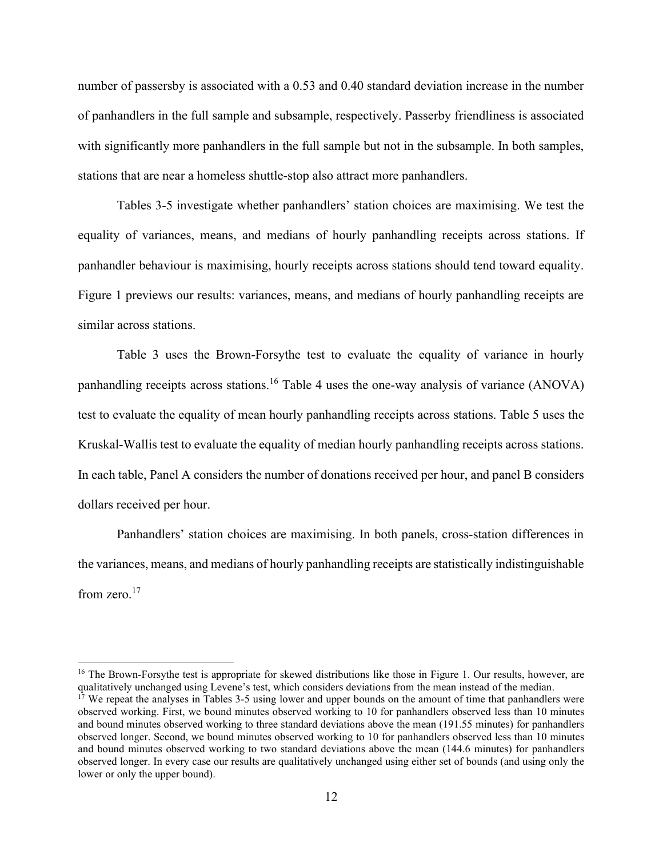number of passersby is associated with a 0.53 and 0.40 standard deviation increase in the number of panhandlers in the full sample and subsample, respectively. Passerby friendliness is associated with significantly more panhandlers in the full sample but not in the subsample. In both samples, stations that are near a homeless shuttle-stop also attract more panhandlers.

Tables 3-5 investigate whether panhandlers' station choices are maximising. We test the equality of variances, means, and medians of hourly panhandling receipts across stations. If panhandler behaviour is maximising, hourly receipts across stations should tend toward equality. Figure 1 previews our results: variances, means, and medians of hourly panhandling receipts are similar across stations.

Table 3 uses the Brown-Forsythe test to evaluate the equality of variance in hourly panhandling receipts across stations.<sup>16</sup> Table 4 uses the one-way analysis of variance (ANOVA) test to evaluate the equality of mean hourly panhandling receipts across stations. Table 5 uses the Kruskal-Wallis test to evaluate the equality of median hourly panhandling receipts across stations. In each table, Panel A considers the number of donations received per hour, and panel B considers dollars received per hour.

Panhandlers' station choices are maximising. In both panels, cross-station differences in the variances, means, and medians of hourly panhandling receipts are statistically indistinguishable from zero. $17$ 

<sup>&</sup>lt;sup>16</sup> The Brown-Forsythe test is appropriate for skewed distributions like those in Figure 1. Our results, however, are qualitatively unchanged using Levene's test, which considers deviations from the mean instead of the median.

 $17$  We repeat the analyses in Tables 3-5 using lower and upper bounds on the amount of time that panhandlers were observed working. First, we bound minutes observed working to 10 for panhandlers observed less than 10 minutes and bound minutes observed working to three standard deviations above the mean (191.55 minutes) for panhandlers observed longer. Second, we bound minutes observed working to 10 for panhandlers observed less than 10 minutes and bound minutes observed working to two standard deviations above the mean (144.6 minutes) for panhandlers observed longer. In every case our results are qualitatively unchanged using either set of bounds (and using only the lower or only the upper bound).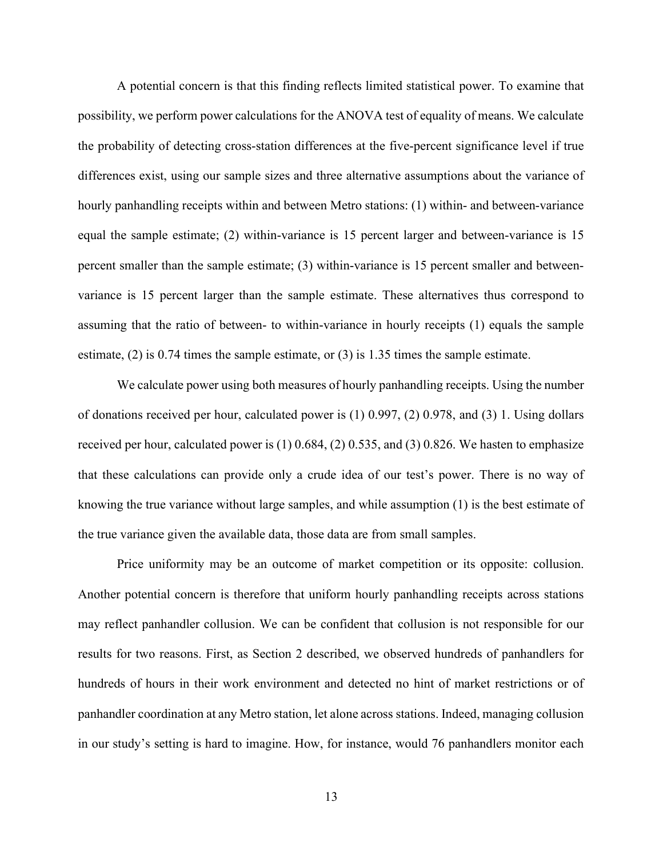A potential concern is that this finding reflects limited statistical power. To examine that possibility, we perform power calculations for the ANOVA test of equality of means. We calculate the probability of detecting cross-station differences at the five-percent significance level if true differences exist, using our sample sizes and three alternative assumptions about the variance of hourly panhandling receipts within and between Metro stations: (1) within- and between-variance equal the sample estimate; (2) within-variance is 15 percent larger and between-variance is 15 percent smaller than the sample estimate; (3) within-variance is 15 percent smaller and betweenvariance is 15 percent larger than the sample estimate. These alternatives thus correspond to assuming that the ratio of between- to within-variance in hourly receipts (1) equals the sample estimate, (2) is 0.74 times the sample estimate, or (3) is 1.35 times the sample estimate.

We calculate power using both measures of hourly panhandling receipts. Using the number of donations received per hour, calculated power is (1) 0.997, (2) 0.978, and (3) 1. Using dollars received per hour, calculated power is (1) 0.684, (2) 0.535, and (3) 0.826. We hasten to emphasize that these calculations can provide only a crude idea of our test's power. There is no way of knowing the true variance without large samples, and while assumption (1) is the best estimate of the true variance given the available data, those data are from small samples.

Price uniformity may be an outcome of market competition or its opposite: collusion. Another potential concern is therefore that uniform hourly panhandling receipts across stations may reflect panhandler collusion. We can be confident that collusion is not responsible for our results for two reasons. First, as Section 2 described, we observed hundreds of panhandlers for hundreds of hours in their work environment and detected no hint of market restrictions or of panhandler coordination at any Metro station, let alone across stations. Indeed, managing collusion in our study's setting is hard to imagine. How, for instance, would 76 panhandlers monitor each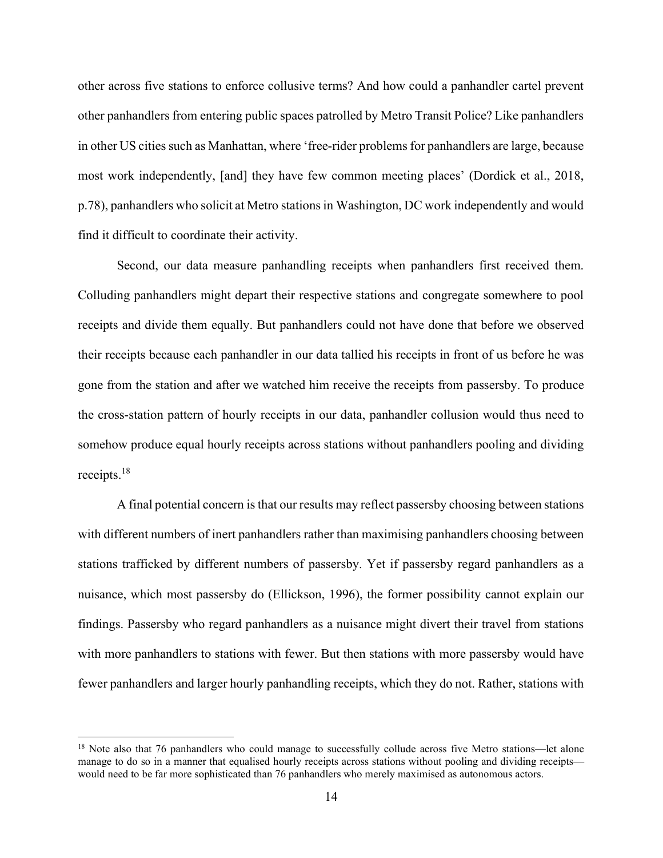other across five stations to enforce collusive terms? And how could a panhandler cartel prevent other panhandlers from entering public spaces patrolled by Metro Transit Police? Like panhandlers in other US cities such as Manhattan, where 'free-rider problems for panhandlers are large, because most work independently, [and] they have few common meeting places' (Dordick et al., 2018, p.78), panhandlers who solicit at Metro stations in Washington, DC work independently and would find it difficult to coordinate their activity.

Second, our data measure panhandling receipts when panhandlers first received them. Colluding panhandlers might depart their respective stations and congregate somewhere to pool receipts and divide them equally. But panhandlers could not have done that before we observed their receipts because each panhandler in our data tallied his receipts in front of us before he was gone from the station and after we watched him receive the receipts from passersby. To produce the cross-station pattern of hourly receipts in our data, panhandler collusion would thus need to somehow produce equal hourly receipts across stations without panhandlers pooling and dividing receipts.<sup>18</sup>

A final potential concern is that our results may reflect passersby choosing between stations with different numbers of inert panhandlers rather than maximising panhandlers choosing between stations trafficked by different numbers of passersby. Yet if passersby regard panhandlers as a nuisance, which most passersby do (Ellickson, 1996), the former possibility cannot explain our findings. Passersby who regard panhandlers as a nuisance might divert their travel from stations with more panhandlers to stations with fewer. But then stations with more passersby would have fewer panhandlers and larger hourly panhandling receipts, which they do not. Rather, stations with

<sup>&</sup>lt;sup>18</sup> Note also that 76 panhandlers who could manage to successfully collude across five Metro stations—let alone manage to do so in a manner that equalised hourly receipts across stations without pooling and dividing receipts would need to be far more sophisticated than 76 panhandlers who merely maximised as autonomous actors.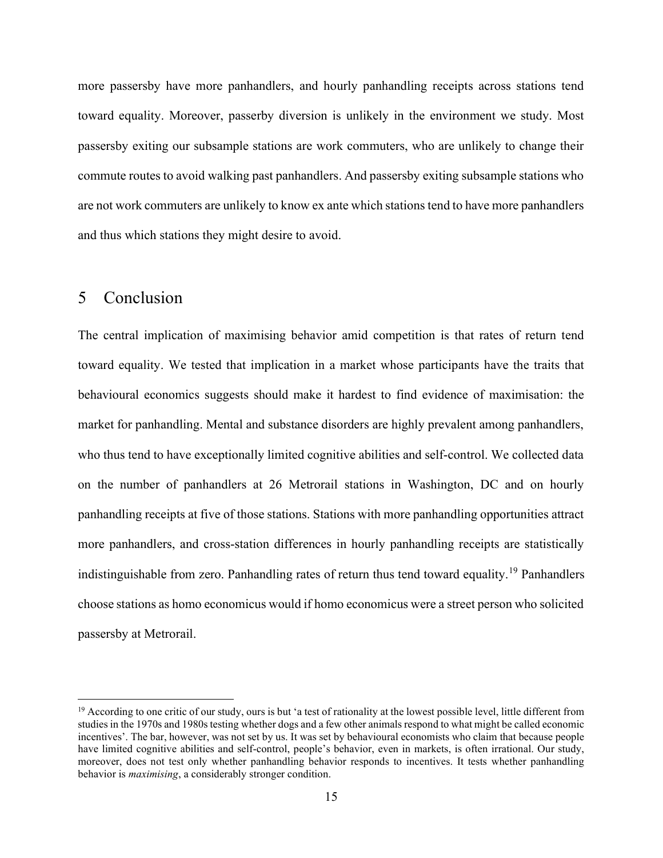more passersby have more panhandlers, and hourly panhandling receipts across stations tend toward equality. Moreover, passerby diversion is unlikely in the environment we study. Most passersby exiting our subsample stations are work commuters, who are unlikely to change their commute routes to avoid walking past panhandlers. And passersby exiting subsample stations who are not work commuters are unlikely to know ex ante which stations tend to have more panhandlers and thus which stations they might desire to avoid.

#### 5 Conclusion

The central implication of maximising behavior amid competition is that rates of return tend toward equality. We tested that implication in a market whose participants have the traits that behavioural economics suggests should make it hardest to find evidence of maximisation: the market for panhandling. Mental and substance disorders are highly prevalent among panhandlers, who thus tend to have exceptionally limited cognitive abilities and self-control. We collected data on the number of panhandlers at 26 Metrorail stations in Washington, DC and on hourly panhandling receipts at five of those stations. Stations with more panhandling opportunities attract more panhandlers, and cross-station differences in hourly panhandling receipts are statistically indistinguishable from zero. Panhandling rates of return thus tend toward equality.<sup>19</sup> Panhandlers choose stations as homo economicus would if homo economicus were a street person who solicited passersby at Metrorail.

 $19$  According to one critic of our study, ours is but 'a test of rationality at the lowest possible level, little different from studies in the 1970s and 1980s testing whether dogs and a few other animals respond to what might be called economic incentives'. The bar, however, was not set by us. It was set by behavioural economists who claim that because people have limited cognitive abilities and self-control, people's behavior, even in markets, is often irrational. Our study, moreover, does not test only whether panhandling behavior responds to incentives. It tests whether panhandling behavior is maximising, a considerably stronger condition.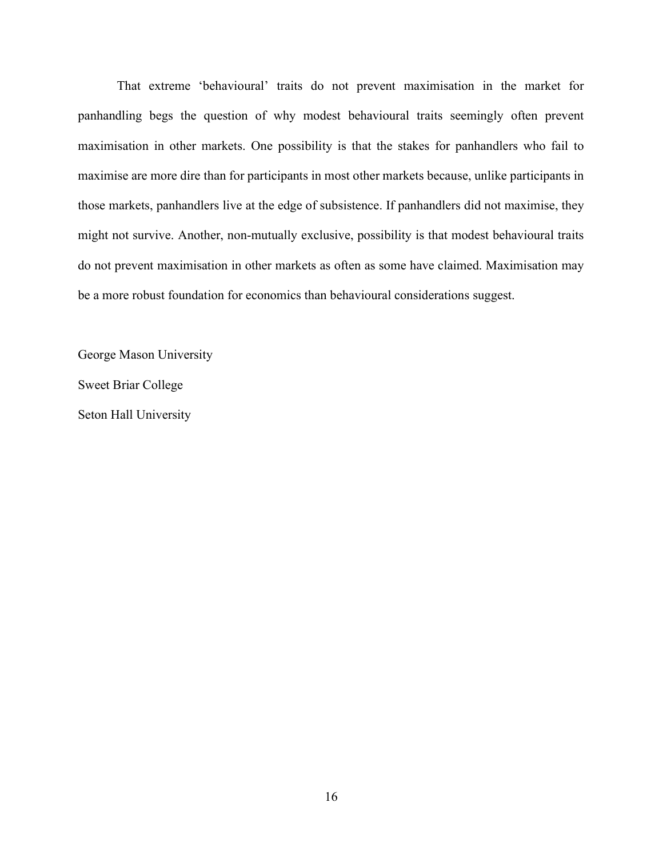That extreme 'behavioural' traits do not prevent maximisation in the market for panhandling begs the question of why modest behavioural traits seemingly often prevent maximisation in other markets. One possibility is that the stakes for panhandlers who fail to maximise are more dire than for participants in most other markets because, unlike participants in those markets, panhandlers live at the edge of subsistence. If panhandlers did not maximise, they might not survive. Another, non-mutually exclusive, possibility is that modest behavioural traits do not prevent maximisation in other markets as often as some have claimed. Maximisation may be a more robust foundation for economics than behavioural considerations suggest.

George Mason University Sweet Briar College Seton Hall University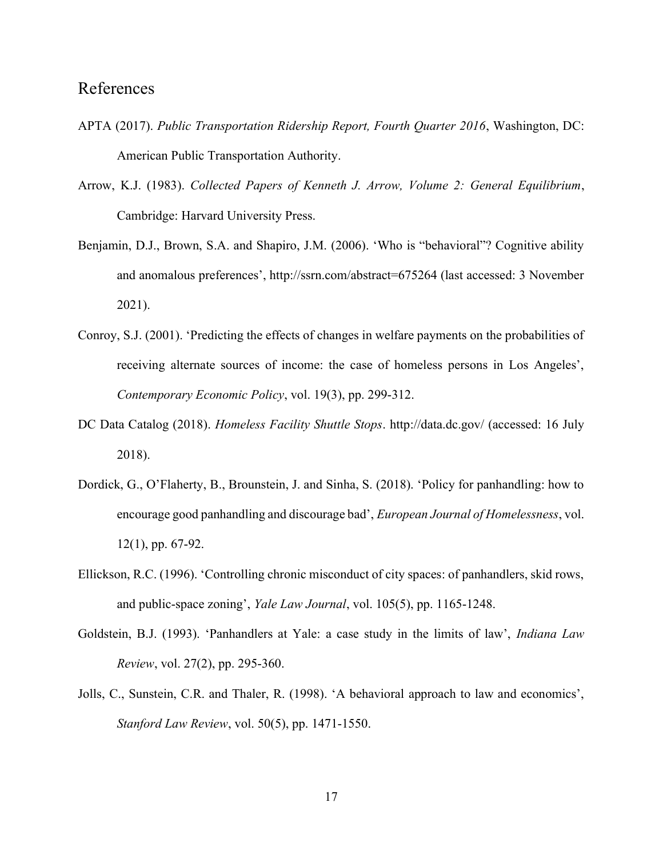## References

- APTA (2017). Public Transportation Ridership Report, Fourth Quarter 2016, Washington, DC: American Public Transportation Authority.
- Arrow, K.J. (1983). Collected Papers of Kenneth J. Arrow, Volume 2: General Equilibrium, Cambridge: Harvard University Press.
- Benjamin, D.J., Brown, S.A. and Shapiro, J.M. (2006). 'Who is "behavioral"? Cognitive ability and anomalous preferences', http://ssrn.com/abstract=675264 (last accessed: 3 November 2021).
- Conroy, S.J. (2001). 'Predicting the effects of changes in welfare payments on the probabilities of receiving alternate sources of income: the case of homeless persons in Los Angeles', Contemporary Economic Policy, vol. 19(3), pp. 299-312.
- DC Data Catalog (2018). Homeless Facility Shuttle Stops. http://data.dc.gov/ (accessed: 16 July 2018).
- Dordick, G., O'Flaherty, B., Brounstein, J. and Sinha, S. (2018). 'Policy for panhandling: how to encourage good panhandling and discourage bad', European Journal of Homelessness, vol. 12(1), pp. 67-92.
- Ellickson, R.C. (1996). 'Controlling chronic misconduct of city spaces: of panhandlers, skid rows, and public-space zoning', Yale Law Journal, vol. 105(5), pp. 1165-1248.
- Goldstein, B.J. (1993). 'Panhandlers at Yale: a case study in the limits of law', Indiana Law Review, vol. 27(2), pp. 295-360.
- Jolls, C., Sunstein, C.R. and Thaler, R. (1998). 'A behavioral approach to law and economics', Stanford Law Review, vol. 50(5), pp. 1471-1550.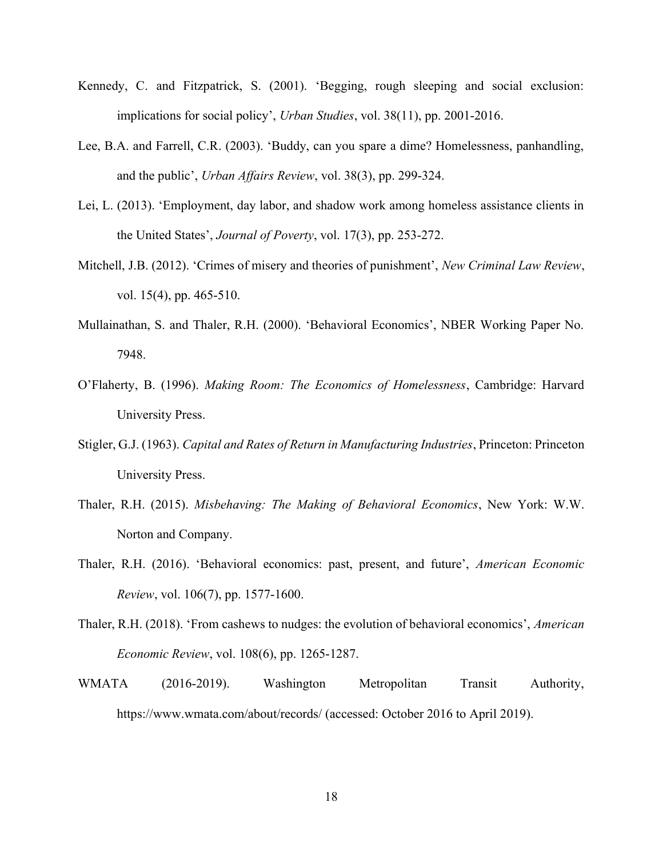- Kennedy, C. and Fitzpatrick, S. (2001). 'Begging, rough sleeping and social exclusion: implications for social policy', Urban Studies, vol. 38(11), pp. 2001-2016.
- Lee, B.A. and Farrell, C.R. (2003). 'Buddy, can you spare a dime? Homelessness, panhandling, and the public', Urban Affairs Review, vol. 38(3), pp. 299-324.
- Lei, L. (2013). 'Employment, day labor, and shadow work among homeless assistance clients in the United States', Journal of Poverty, vol. 17(3), pp. 253-272.
- Mitchell, J.B. (2012). 'Crimes of misery and theories of punishment', New Criminal Law Review, vol. 15(4), pp. 465-510.
- Mullainathan, S. and Thaler, R.H. (2000). 'Behavioral Economics', NBER Working Paper No. 7948.
- O'Flaherty, B. (1996). Making Room: The Economics of Homelessness, Cambridge: Harvard University Press.
- Stigler, G.J. (1963). Capital and Rates of Return in Manufacturing Industries, Princeton: Princeton University Press.
- Thaler, R.H. (2015). Misbehaving: The Making of Behavioral Economics, New York: W.W. Norton and Company.
- Thaler, R.H. (2016). 'Behavioral economics: past, present, and future', American Economic Review, vol. 106(7), pp. 1577-1600.
- Thaler, R.H. (2018). 'From cashews to nudges: the evolution of behavioral economics', American Economic Review, vol. 108(6), pp. 1265-1287.
- WMATA (2016-2019). Washington Metropolitan Transit Authority, https://www.wmata.com/about/records/ (accessed: October 2016 to April 2019).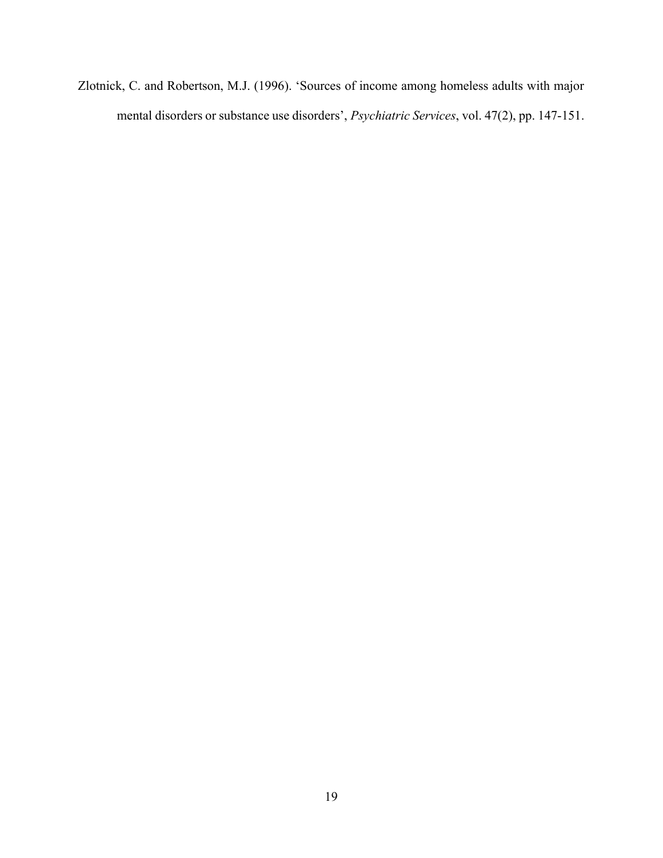Zlotnick, C. and Robertson, M.J. (1996). 'Sources of income among homeless adults with major mental disorders or substance use disorders', Psychiatric Services, vol. 47(2), pp. 147-151.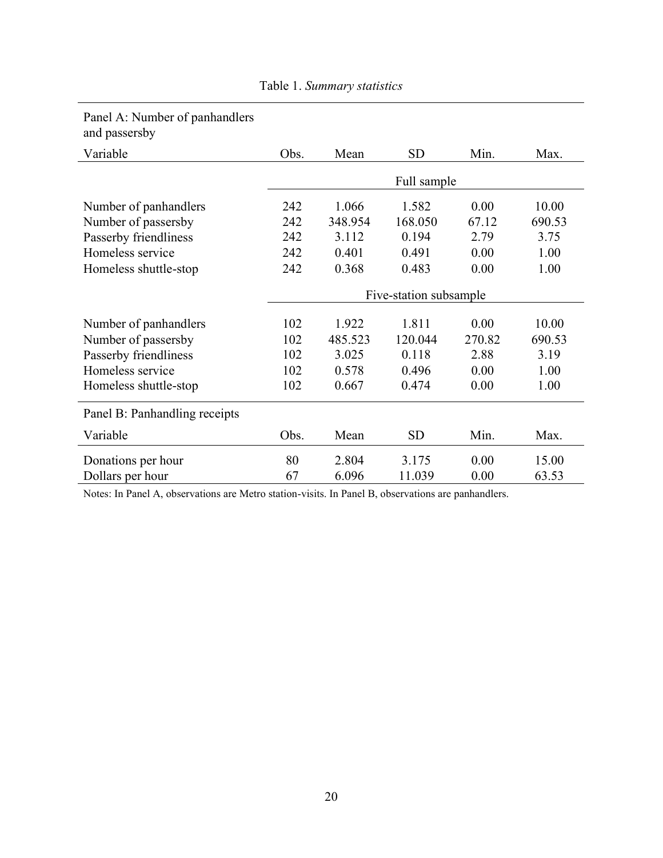| Patier A. Number of parmandiers<br>and passersby |                        |         |           |        |        |
|--------------------------------------------------|------------------------|---------|-----------|--------|--------|
| Variable                                         | Obs.                   | Mean    | <b>SD</b> | Min.   | Max.   |
|                                                  | Full sample            |         |           |        |        |
| Number of panhandlers                            | 242                    | 1.066   | 1.582     | 0.00   | 10.00  |
| Number of passersby                              | 242                    | 348.954 | 168.050   | 67.12  | 690.53 |
| Passerby friendliness                            | 242                    | 3.112   | 0.194     | 2.79   | 3.75   |
| Homeless service                                 | 242                    | 0.401   | 0.491     | 0.00   | 1.00   |
| Homeless shuttle-stop                            | 242                    | 0.368   | 0.483     | 0.00   | 1.00   |
|                                                  | Five-station subsample |         |           |        |        |
| Number of panhandlers                            | 102                    | 1.922   | 1.811     | 0.00   | 10.00  |
| Number of passersby                              | 102                    | 485.523 | 120.044   | 270.82 | 690.53 |
| Passerby friendliness                            | 102                    | 3.025   | 0.118     | 2.88   | 3.19   |
| Homeless service                                 | 102                    | 0.578   | 0.496     | 0.00   | 1.00   |
| Homeless shuttle-stop                            | 102                    | 0.667   | 0.474     | 0.00   | 1.00   |
| Panel B: Panhandling receipts                    |                        |         |           |        |        |
| Variable                                         | Obs.                   | Mean    | <b>SD</b> | Min.   | Max.   |
| Donations per hour                               | 80                     | 2.804   | 3.175     | 0.00   | 15.00  |
| Dollars per hour                                 | 67                     | 6.096   | 11.039    | 0.00   | 63.53  |

Table 1. Summary statistics

Panel A: Number of panhandlers

Notes: In Panel A, observations are Metro station-visits. In Panel B, observations are panhandlers.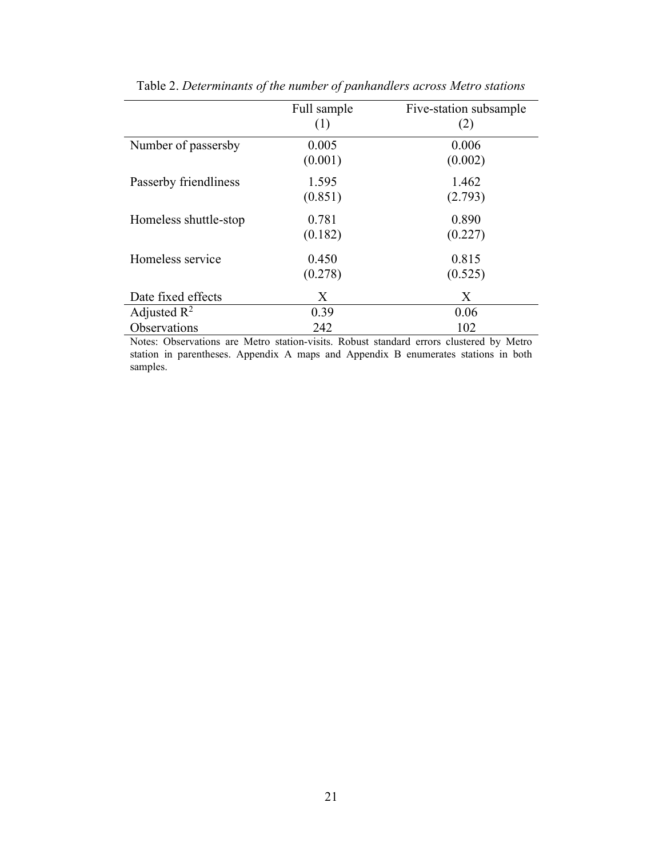|                         | Full sample<br>(1) | Five-station subsample<br>(2) |
|-------------------------|--------------------|-------------------------------|
| Number of passersby     | 0.005<br>(0.001)   | 0.006<br>(0.002)              |
| Passerby friendliness   | 1.595<br>(0.851)   | 1.462<br>(2.793)              |
| Homeless shuttle-stop   | 0.781<br>(0.182)   | 0.890<br>(0.227)              |
| Homeless service        | 0.450<br>(0.278)   | 0.815<br>(0.525)              |
| Date fixed effects      | X                  | X                             |
| Adjusted $\mathbb{R}^2$ | 0.39               | 0.06                          |
| Observations            | 242                | 102                           |

Table 2. Determinants of the number of panhandlers across Metro stations

Notes: Observations are Metro station-visits. Robust standard errors clustered by Metro station in parentheses. Appendix A maps and Appendix B enumerates stations in both samples.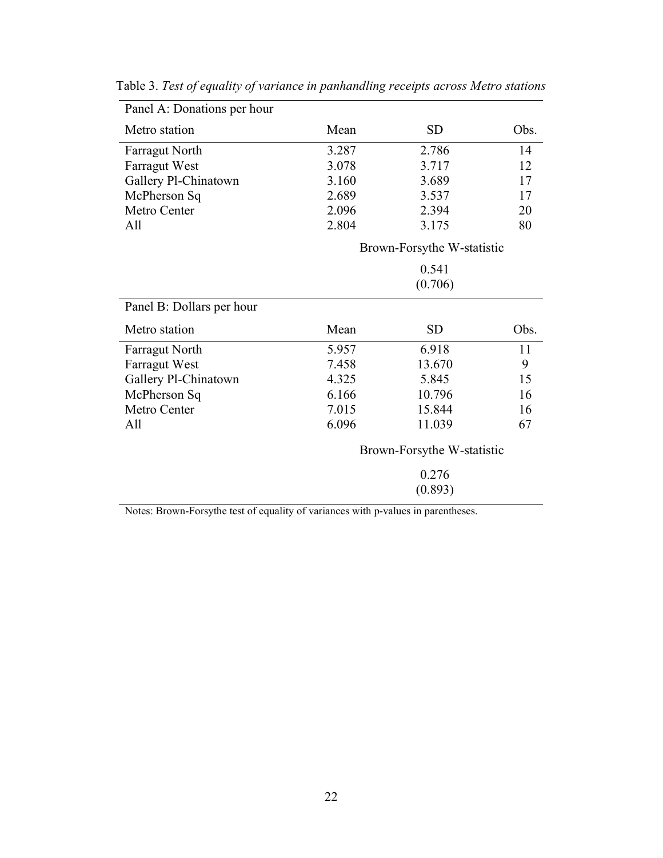| Mean  | <b>SD</b> | Obs.                                                                                  |
|-------|-----------|---------------------------------------------------------------------------------------|
| 3.287 | 2.786     | 14                                                                                    |
| 3.078 | 3.717     | 12                                                                                    |
| 3.160 | 3.689     | 17                                                                                    |
| 2.689 | 3.537     | 17                                                                                    |
| 2.096 | 2.394     | 20                                                                                    |
| 2.804 | 3.175     | 80                                                                                    |
|       |           |                                                                                       |
|       |           |                                                                                       |
|       | (0.706)   |                                                                                       |
|       |           |                                                                                       |
| Mean  | <b>SD</b> | Obs.                                                                                  |
| 5.957 | 6.918     | 11                                                                                    |
| 7.458 | 13.670    | 9                                                                                     |
| 4.325 | 5.845     | 15                                                                                    |
| 6.166 | 10.796    | 16                                                                                    |
| 7.015 | 15.844    | 16                                                                                    |
| 6.096 | 11.039    | 67                                                                                    |
|       |           |                                                                                       |
|       |           |                                                                                       |
|       |           |                                                                                       |
|       |           | Brown-Forsythe W-statistic<br>0.541<br>Brown-Forsythe W-statistic<br>0.276<br>(0.893) |

Table 3. Test of equality of variance in panhandling receipts across Metro stations

Notes: Brown-Forsythe test of equality of variances with p-values in parentheses.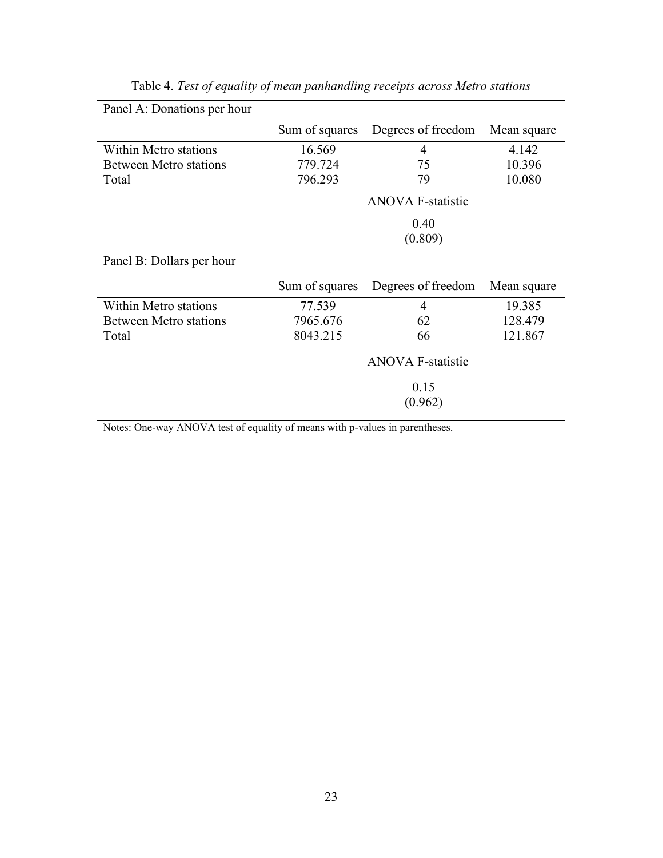| Panel A: Donations per hour   |                |                          |             |
|-------------------------------|----------------|--------------------------|-------------|
|                               | Sum of squares | Degrees of freedom       | Mean square |
| <b>Within Metro stations</b>  | 16.569         | 4                        | 4.142       |
| <b>Between Metro stations</b> | 779.724        | 75                       | 10.396      |
| Total                         | 796.293        | 79                       | 10.080      |
|                               |                | <b>ANOVA F-statistic</b> |             |
|                               |                | 0.40                     |             |
|                               |                | (0.809)                  |             |
| Panel B: Dollars per hour     |                |                          |             |
|                               | Sum of squares | Degrees of freedom       | Mean square |
| <b>Within Metro stations</b>  | 77.539         | 4                        | 19.385      |
| <b>Between Metro stations</b> | 7965.676       | 62                       | 128.479     |
| Total                         | 8043.215       | 66                       | 121.867     |
|                               |                | <b>ANOVA F-statistic</b> |             |
|                               |                | 0.15                     |             |
|                               |                | (0.962)                  |             |

|  |  | Table 4. Test of equality of mean panhandling receipts across Metro stations |  |  |
|--|--|------------------------------------------------------------------------------|--|--|
|  |  |                                                                              |  |  |

Notes: One-way ANOVA test of equality of means with p-values in parentheses.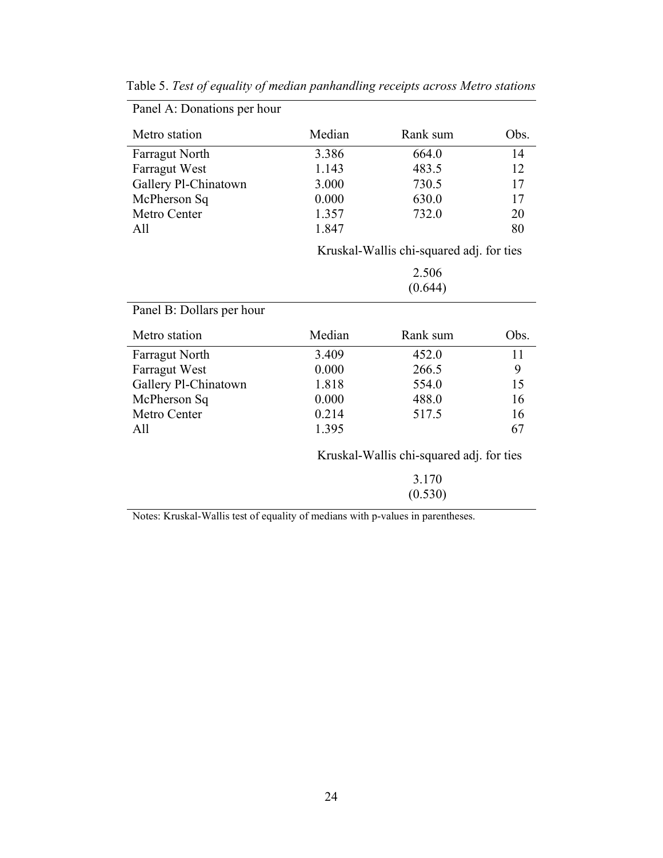| Metro station             | Median | Rank sum                                 | Obs. |
|---------------------------|--------|------------------------------------------|------|
| <b>Farragut North</b>     | 3.386  | 664.0                                    | 14   |
| Farragut West             | 1.143  | 483.5                                    | 12   |
| Gallery Pl-Chinatown      | 3.000  | 730.5                                    | 17   |
| McPherson Sq              | 0.000  | 630.0                                    | 17   |
| Metro Center              | 1.357  | 732.0                                    | 20   |
| All                       | 1.847  |                                          | 80   |
|                           |        | Kruskal-Wallis chi-squared adj. for ties |      |
|                           |        | 2.506                                    |      |
|                           |        | (0.644)                                  |      |
| Panel B: Dollars per hour |        |                                          |      |
| Metro station             | Median | Rank sum                                 | Obs. |
| <b>Farragut North</b>     | 3.409  | 452.0                                    | 11   |
| Farragut West             | 0.000  | 266.5                                    | 9    |
| Gallery Pl-Chinatown      | 1.818  | 554.0                                    | 15   |
| McPherson Sq              | 0.000  | 488.0                                    | 16   |
| Metro Center              | 0.214  | 517.5                                    | 16   |
| All                       | 1.395  |                                          | 67   |
|                           |        | Kruskal-Wallis chi-squared adj. for ties |      |
|                           |        | 3.170                                    |      |
|                           |        | (0.530)                                  |      |

Table 5. Test of equality of median panhandling receipts across Metro stations

Panel A: Donations per hour

Notes: Kruskal-Wallis test of equality of medians with p-values in parentheses.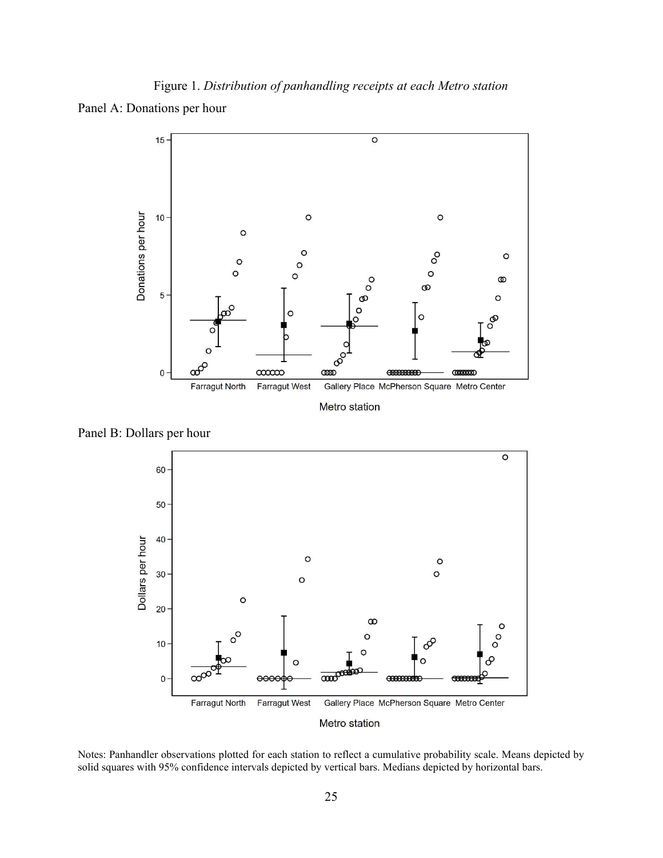Figure 1. Distribution of panhandling receipts at each Metro station Panel A: Donations per hour



Panel B: Dollars per hour



Notes: Panhandler observations plotted for each station to reflect a cumulative probability scale. Means depicted by solid squares with 95% confidence intervals depicted by vertical bars. Medians depicted by horizontal bars.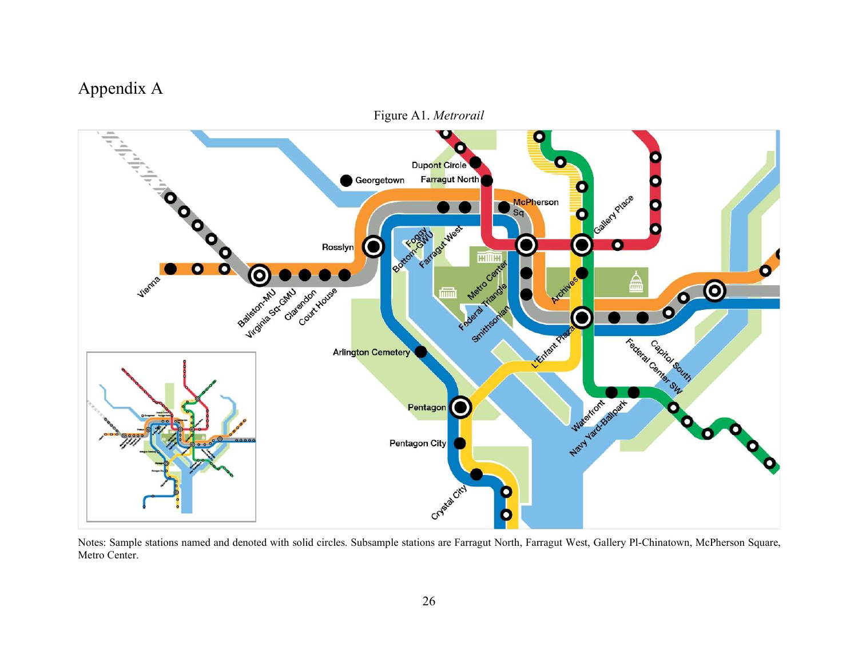## Appendix A



Notes: Sample stations named and denoted with solid circles. Subsample stations are Farragut North, Farragut West, Gallery Pl-Chinatown, McPherson Square, Metro Center.